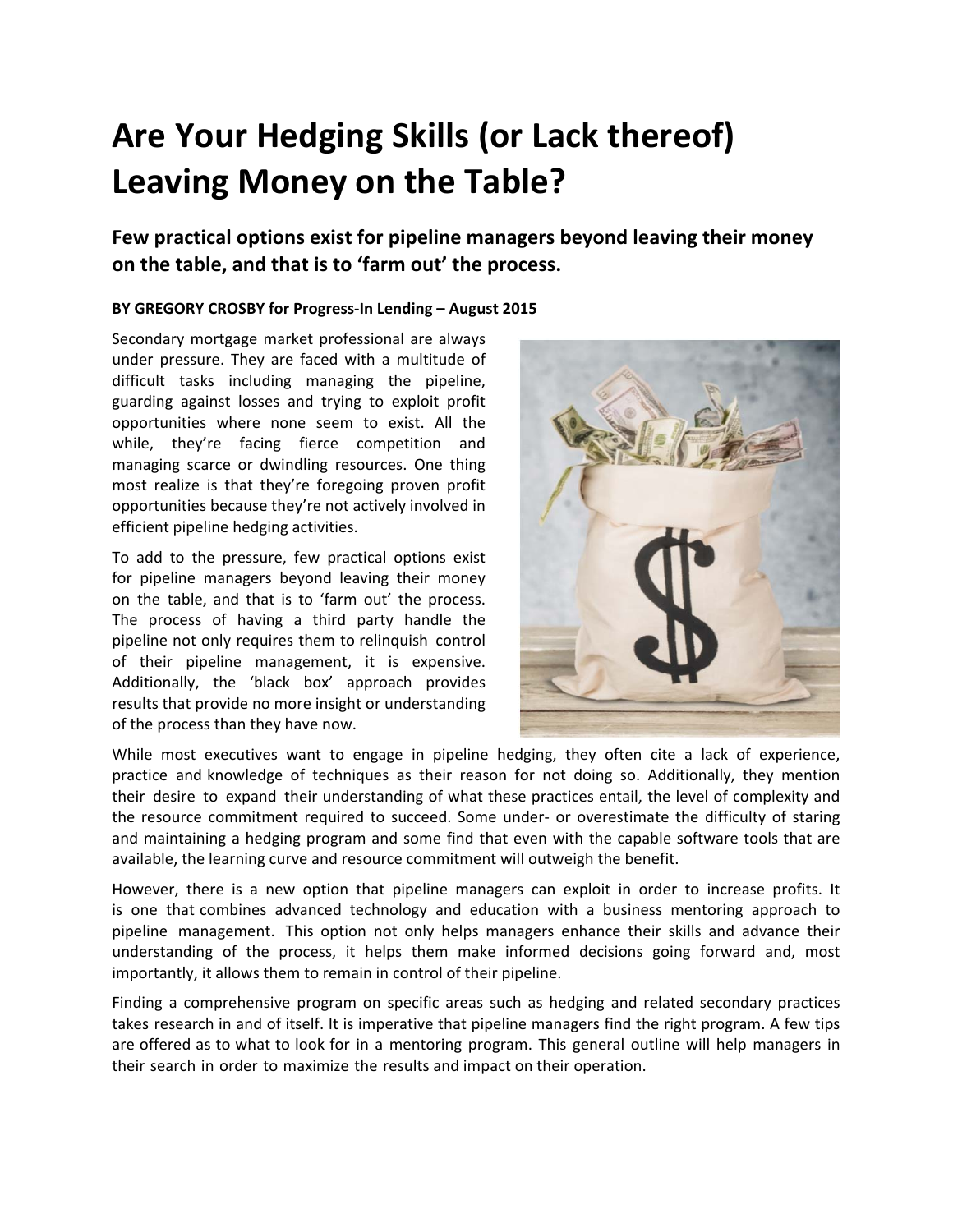## **Are Your Hedging Skills (or Lack thereof) Leaving Money on the Table?**

**Few practical options exist for pipeline managers beyond leaving their money on the table, and that is to 'farm out' the process.**

## **BY GREGORY CROSBY for Progress‐In Lending – August 2015**

Secondary mortgage market professional are always under pressure. They are faced with a multitude of difficult tasks including managing the pipeline, guarding against losses and trying to exploit profit opportunities where none seem to exist. All the while, they're facing fierce competition and managing scarce or dwindling resources. One thing most realize is that they're foregoing proven profit opportunities because they're not actively involved in efficient pipeline hedging activities.

To add to the pressure, few practical options exist for pipeline managers beyond leaving their money on the table, and that is to 'farm out' the process. The process of having a third party handle the pipeline not only requires them to relinquish control of their pipeline management, it is expensive. Additionally, the 'black box' approach provides results that provide no more insight or understanding of the process than they have now.



While most executives want to engage in pipeline hedging, they often cite a lack of experience, practice and knowledge of techniques as their reason for not doing so. Additionally, they mention their desire to expand their understanding of what these practices entail, the level of complexity and the resource commitment required to succeed. Some under- or overestimate the difficulty of staring and maintaining a hedging program and some find that even with the capable software tools that are available, the learning curve and resource commitment will outweigh the benefit.

However, there is a new option that pipeline managers can exploit in order to increase profits. It is one that combines advanced technology and education with a business mentoring approach to pipeline management. This option not only helps managers enhance their skills and advance their understanding of the process, it helps them make informed decisions going forward and, most importantly, it allows them to remain in control of their pipeline.

Finding a comprehensive program on specific areas such as hedging and related secondary practices takes research in and of itself. It is imperative that pipeline managers find the right program. A few tips are offered as to what to look for in a mentoring program. This general outline will help managers in their search in order to maximize the results and impact on their operation.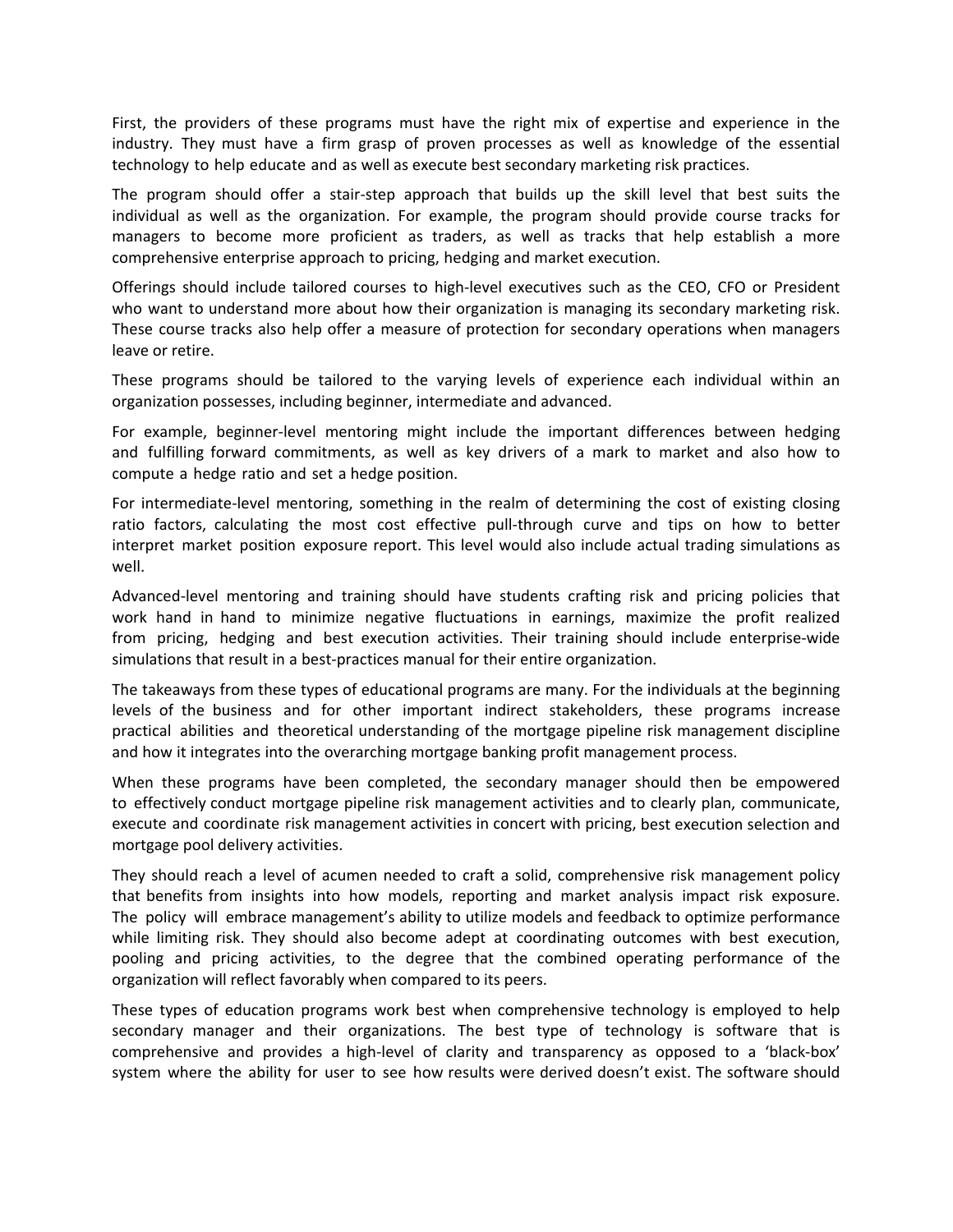First, the providers of these programs must have the right mix of expertise and experience in the industry. They must have a firm grasp of proven processes as well as knowledge of the essential technology to help educate and as well as execute best secondary marketing risk practices.

The program should offer a stair‐step approach that builds up the skill level that best suits the individual as well as the organization. For example, the program should provide course tracks for managers to become more proficient as traders, as well as tracks that help establish a more comprehensive enterprise approach to pricing, hedging and market execution.

Offerings should include tailored courses to high‐level executives such as the CEO, CFO or President who want to understand more about how their organization is managing its secondary marketing risk. These course tracks also help offer a measure of protection for secondary operations when managers leave or retire.

These programs should be tailored to the varying levels of experience each individual within an organization possesses, including beginner, intermediate and advanced.

For example, beginner-level mentoring might include the important differences between hedging and fulfilling forward commitments, as well as key drivers of a mark to market and also how to compute a hedge ratio and set a hedge position.

For intermediate-level mentoring, something in the realm of determining the cost of existing closing ratio factors, calculating the most cost effective pull-through curve and tips on how to better interpret market position exposure report. This level would also include actual trading simulations as well.

Advanced‐level mentoring and training should have students crafting risk and pricing policies that work hand in hand to minimize negative fluctuations in earnings, maximize the profit realized from pricing, hedging and best execution activities. Their training should include enterprise‐wide simulations that result in a best-practices manual for their entire organization.

The takeaways from these types of educational programs are many. For the individuals at the beginning levels of the business and for other important indirect stakeholders, these programs increase practical abilities and theoretical understanding of the mortgage pipeline risk management discipline and how it integrates into the overarching mortgage banking profit management process.

When these programs have been completed, the secondary manager should then be empowered to effectively conduct mortgage pipeline risk management activities and to clearly plan, communicate, execute and coordinate risk management activities in concert with pricing, best execution selection and mortgage pool delivery activities.

They should reach a level of acumen needed to craft a solid, comprehensive risk management policy that benefits from insights into how models, reporting and market analysis impact risk exposure. The policy will embrace management's ability to utilize models and feedback to optimize performance while limiting risk. They should also become adept at coordinating outcomes with best execution, pooling and pricing activities, to the degree that the combined operating performance of the organization will reflect favorably when compared to its peers.

These types of education programs work best when comprehensive technology is employed to help secondary manager and their organizations. The best type of technology is software that is comprehensive and provides a high‐level of clarity and transparency as opposed to a 'black‐box' system where the ability for user to see how results were derived doesn't exist. The software should